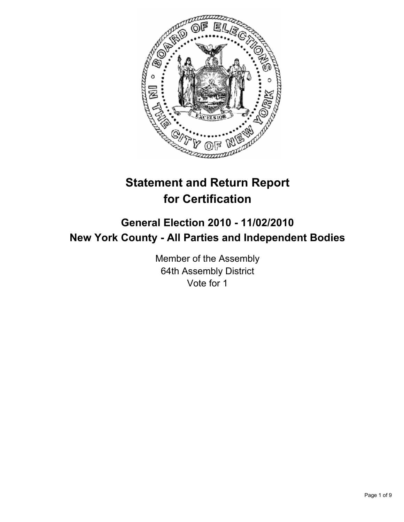

# **Statement and Return Report for Certification**

## **General Election 2010 - 11/02/2010 New York County - All Parties and Independent Bodies**

Member of the Assembly 64th Assembly District Vote for 1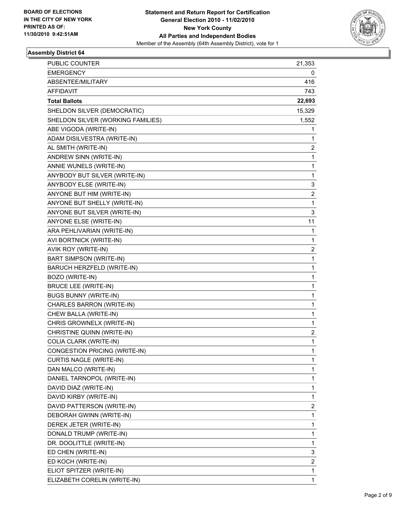

| PUBLIC COUNTER                    | 21,353 |
|-----------------------------------|--------|
| <b>EMERGENCY</b>                  | 0      |
| ABSENTEE/MILITARY                 | 416    |
| <b>AFFIDAVIT</b>                  | 743    |
| <b>Total Ballots</b>              | 22,693 |
| SHELDON SILVER (DEMOCRATIC)       | 15,329 |
| SHELDON SILVER (WORKING FAMILIES) | 1,552  |
| ABE VIGODA (WRITE-IN)             | 1      |
| ADAM DISILVESTRA (WRITE-IN)       | 1      |
| AL SMITH (WRITE-IN)               | 2      |
| ANDREW SINN (WRITE-IN)            | 1      |
| ANNIE WUNELS (WRITE-IN)           | 1      |
| ANYBODY BUT SILVER (WRITE-IN)     | 1      |
| ANYBODY ELSE (WRITE-IN)           | 3      |
| ANYONE BUT HIM (WRITE-IN)         | 2      |
| ANYONE BUT SHELLY (WRITE-IN)      | 1      |
| ANYONE BUT SILVER (WRITE-IN)      | 3      |
| ANYONE ELSE (WRITE-IN)            | 11     |
| ARA PEHLIVARIAN (WRITE-IN)        | 1      |
| AVI BORTNICK (WRITE-IN)           | 1      |
| AVIK ROY (WRITE-IN)               | 2      |
| <b>BART SIMPSON (WRITE-IN)</b>    | 1      |
| BARUCH HERZFELD (WRITE-IN)        | 1      |
| BOZO (WRITE-IN)                   | 1      |
| <b>BRUCE LEE (WRITE-IN)</b>       | 1      |
| <b>BUGS BUNNY (WRITE-IN)</b>      | 1      |
| CHARLES BARRON (WRITE-IN)         | 1      |
| CHEW BALLA (WRITE-IN)             | 1      |
| CHRIS GROWNELX (WRITE-IN)         | 1      |
| CHRISTINE QUINN (WRITE-IN)        | 2      |
| COLIA CLARK (WRITE-IN)            | 1      |
| CONGESTION PRICING (WRITE-IN)     | 1      |
| <b>CURTIS NAGLE (WRITE-IN)</b>    | 1      |
| DAN MALCO (WRITE-IN)              | 1      |
| DANIEL TARNOPOL (WRITE-IN)        | 1      |
| DAVID DIAZ (WRITE-IN)             | 1      |
| DAVID KIRBY (WRITE-IN)            | 1      |
| DAVID PATTERSON (WRITE-IN)        | 2      |
| DEBORAH GWINN (WRITE-IN)          | 1      |
| DEREK JETER (WRITE-IN)            | 1      |
| DONALD TRUMP (WRITE-IN)           | 1      |
| DR. DOOLITTLE (WRITE-IN)          | 1      |
| ED CHEN (WRITE-IN)                | 3      |
| ED KOCH (WRITE-IN)                | 2      |
| ELIOT SPITZER (WRITE-IN)          | 1      |
| ELIZABETH CORELIN (WRITE-IN)      | 1      |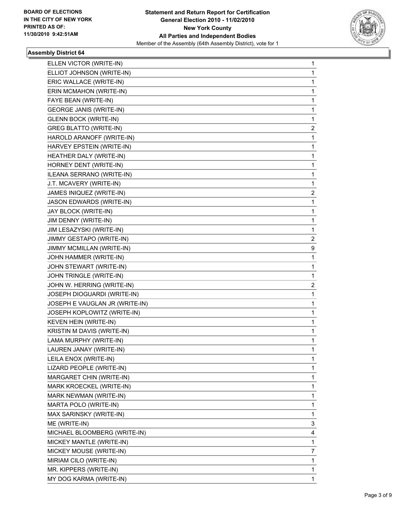

| ELLEN VICTOR (WRITE-IN)        | 1              |
|--------------------------------|----------------|
| ELLIOT JOHNSON (WRITE-IN)      | 1              |
| ERIC WALLACE (WRITE-IN)        | 1              |
| ERIN MCMAHON (WRITE-IN)        | 1              |
| FAYE BEAN (WRITE-IN)           | 1              |
| <b>GEORGE JANIS (WRITE-IN)</b> | 1              |
| <b>GLENN BOCK (WRITE-IN)</b>   | 1              |
| <b>GREG BLATTO (WRITE-IN)</b>  | 2              |
| HAROLD ARANOFF (WRITE-IN)      | 1              |
| HARVEY EPSTEIN (WRITE-IN)      | 1              |
| HEATHER DALY (WRITE-IN)        | 1              |
| HORNEY DENT (WRITE-IN)         | 1              |
| ILEANA SERRANO (WRITE-IN)      | 1              |
| J.T. MCAVERY (WRITE-IN)        | 1              |
| JAMES INIQUEZ (WRITE-IN)       | 2              |
| JASON EDWARDS (WRITE-IN)       | 1              |
| JAY BLOCK (WRITE-IN)           | 1              |
| JIM DENNY (WRITE-IN)           | 1              |
| JIM LESAZYSKI (WRITE-IN)       | 1              |
| JIMMY GESTAPO (WRITE-IN)       | $\mathbf{2}$   |
| JIMMY MCMILLAN (WRITE-IN)      | 9              |
| JOHN HAMMER (WRITE-IN)         | 1              |
| JOHN STEWART (WRITE-IN)        | 1              |
| JOHN TRINGLE (WRITE-IN)        | 1              |
| JOHN W. HERRING (WRITE-IN)     | $\mathbf{2}$   |
| JOSEPH DIOGUARDI (WRITE-IN)    | 1              |
| JOSEPH E VAUGLAN JR (WRITE-IN) | 1              |
| JOSEPH KOPLOWITZ (WRITE-IN)    | 1              |
| KEVEN HEIN (WRITE-IN)          | 1              |
| KRISTIN M DAVIS (WRITE-IN)     | 1              |
| LAMA MURPHY (WRITE-IN)         | 1              |
| LAUREN JANAY (WRITE-IN)        | 1              |
| LEILA ENOX (WRITE-IN)          | 1              |
| LIZARD PEOPLE (WRITE-IN)       | 1              |
| MARGARET CHIN (WRITE-IN)       | 1              |
| MARK KROECKEL (WRITE-IN)       | 1              |
| MARK NEWMAN (WRITE-IN)         | 1              |
| MARTA POLO (WRITE-IN)          | 1              |
| MAX SARINSKY (WRITE-IN)        | 1              |
| ME (WRITE-IN)                  | 3              |
| MICHAEL BLOOMBERG (WRITE-IN)   | 4              |
| MICKEY MANTLE (WRITE-IN)       | 1              |
| MICKEY MOUSE (WRITE-IN)        | $\overline{7}$ |
| MIRIAM CILO (WRITE-IN)         | 1              |
| MR. KIPPERS (WRITE-IN)         | 1              |
| MY DOG KARMA (WRITE-IN)        | $\mathbf{1}$   |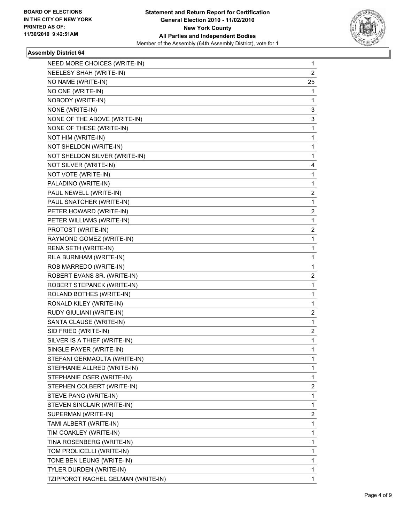

| NEED MORE CHOICES (WRITE-IN)       | 1              |
|------------------------------------|----------------|
| NEELESY SHAH (WRITE-IN)            | $\overline{2}$ |
| NO NAME (WRITE-IN)                 | 25             |
| NO ONE (WRITE-IN)                  | 1              |
| NOBODY (WRITE-IN)                  | 1              |
| NONE (WRITE-IN)                    | 3              |
| NONE OF THE ABOVE (WRITE-IN)       | 3              |
| NONE OF THESE (WRITE-IN)           | 1              |
| NOT HIM (WRITE-IN)                 | 1              |
| NOT SHELDON (WRITE-IN)             | 1              |
| NOT SHELDON SILVER (WRITE-IN)      | 1              |
| NOT SILVER (WRITE-IN)              | 4              |
| NOT VOTE (WRITE-IN)                | 1              |
| PALADINO (WRITE-IN)                | 1              |
| PAUL NEWELL (WRITE-IN)             | 2              |
| PAUL SNATCHER (WRITE-IN)           | 1              |
| PETER HOWARD (WRITE-IN)            | 2              |
| PETER WILLIAMS (WRITE-IN)          | 1              |
| PROTOST (WRITE-IN)                 | 2              |
| RAYMOND GOMEZ (WRITE-IN)           | 1              |
| RENA SETH (WRITE-IN)               | 1              |
| RILA BURNHAM (WRITE-IN)            | $\mathbf{1}$   |
| ROB MARREDO (WRITE-IN)             | 1              |
| ROBERT EVANS SR. (WRITE-IN)        | 2              |
| ROBERT STEPANEK (WRITE-IN)         | 1              |
| ROLAND BOTHES (WRITE-IN)           | 1              |
| RONALD KILEY (WRITE-IN)            | 1              |
| RUDY GIULIANI (WRITE-IN)           | 2              |
| SANTA CLAUSE (WRITE-IN)            | 1              |
| SID FRIED (WRITE-IN)               | 2              |
| SILVER IS A THIEF (WRITE-IN)       | 1              |
| SINGLE PAYER (WRITE-IN)            | 1              |
| STEFANI GERMAOLTA (WRITE-IN)       | 1              |
| STEPHANIE ALLRED (WRITE-IN)        | 1              |
| STEPHANIE OSER (WRITE-IN)          | 1              |
| STEPHEN COLBERT (WRITE-IN)         | 2              |
| STEVE PANG (WRITE-IN)              | 1              |
| STEVEN SINCLAIR (WRITE-IN)         | 1              |
| SUPERMAN (WRITE-IN)                | 2              |
| TAMI ALBERT (WRITE-IN)             | 1              |
| TIM COAKLEY (WRITE-IN)             | 1              |
| TINA ROSENBERG (WRITE-IN)          | 1              |
| TOM PROLICELLI (WRITE-IN)          | $\mathbf{1}$   |
| TONE BEN LEUNG (WRITE-IN)          | 1              |
| TYLER DURDEN (WRITE-IN)            | 1              |
| TZIPPOROT RACHEL GELMAN (WRITE-IN) | 1              |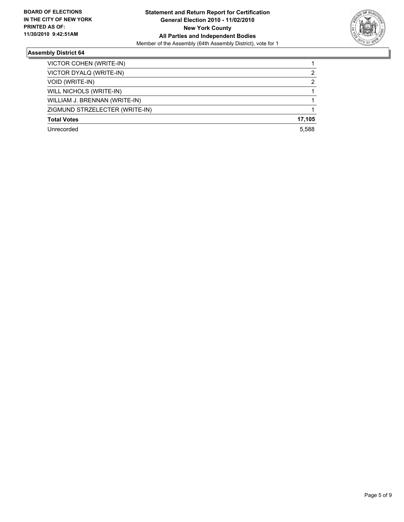

| VICTOR COHEN (WRITE-IN)        |        |
|--------------------------------|--------|
| VICTOR DYALQ (WRITE-IN)        | 2      |
| <b>VOID (WRITE-IN)</b>         | 2      |
| WILL NICHOLS (WRITE-IN)        |        |
| WILLIAM J. BRENNAN (WRITE-IN)  |        |
| ZIGMUND STRZELECTER (WRITE-IN) |        |
| <b>Total Votes</b>             | 17,105 |
| Unrecorded                     | 5.588  |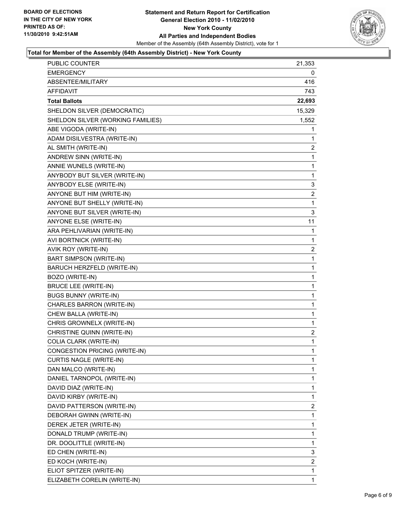

#### **Total for Member of the Assembly (64th Assembly District) - New York County**

| PUBLIC COUNTER                       | 21,353         |
|--------------------------------------|----------------|
| <b>EMERGENCY</b>                     | 0              |
| ABSENTEE/MILITARY                    | 416            |
| AFFIDAVIT                            | 743            |
| <b>Total Ballots</b>                 | 22,693         |
| SHELDON SILVER (DEMOCRATIC)          | 15,329         |
| SHELDON SILVER (WORKING FAMILIES)    | 1,552          |
| ABE VIGODA (WRITE-IN)                | 1              |
| ADAM DISILVESTRA (WRITE-IN)          | 1              |
| AL SMITH (WRITE-IN)                  | 2              |
| ANDREW SINN (WRITE-IN)               | 1              |
| ANNIE WUNELS (WRITE-IN)              | 1              |
| ANYBODY BUT SILVER (WRITE-IN)        | 1              |
| ANYBODY ELSE (WRITE-IN)              | 3              |
| ANYONE BUT HIM (WRITE-IN)            | 2              |
| ANYONE BUT SHELLY (WRITE-IN)         | 1              |
| ANYONE BUT SILVER (WRITE-IN)         | 3              |
| ANYONE ELSE (WRITE-IN)               | 11             |
| ARA PEHLIVARIAN (WRITE-IN)           | 1              |
| AVI BORTNICK (WRITE-IN)              | 1              |
| AVIK ROY (WRITE-IN)                  | 2              |
| <b>BART SIMPSON (WRITE-IN)</b>       | 1              |
| BARUCH HERZFELD (WRITE-IN)           | 1              |
| BOZO (WRITE-IN)                      | 1              |
| <b>BRUCE LEE (WRITE-IN)</b>          | 1              |
| <b>BUGS BUNNY (WRITE-IN)</b>         | 1              |
| CHARLES BARRON (WRITE-IN)            | 1              |
| CHEW BALLA (WRITE-IN)                | 1              |
| CHRIS GROWNELX (WRITE-IN)            | 1              |
| CHRISTINE QUINN (WRITE-IN)           | $\overline{2}$ |
| COLIA CLARK (WRITE-IN)               | 1              |
| <b>CONGESTION PRICING (WRITE-IN)</b> | 1              |
| CURTIS NAGLE (WRITE-IN)              | 1              |
| DAN MALCO (WRITE-IN)                 | 1              |
| DANIEL TARNOPOL (WRITE-IN)           | 1              |
| DAVID DIAZ (WRITE-IN)                | $\mathbf{1}$   |
| DAVID KIRBY (WRITE-IN)               | 1              |
| DAVID PATTERSON (WRITE-IN)           | 2              |
| DEBORAH GWINN (WRITE-IN)             | 1              |
| DEREK JETER (WRITE-IN)               | 1              |
| DONALD TRUMP (WRITE-IN)              | 1              |
| DR. DOOLITTLE (WRITE-IN)             | $\mathbf 1$    |
| ED CHEN (WRITE-IN)                   | 3              |
| ED KOCH (WRITE-IN)                   | 2              |
| ELIOT SPITZER (WRITE-IN)             | 1              |
| ELIZABETH CORELIN (WRITE-IN)         | 1              |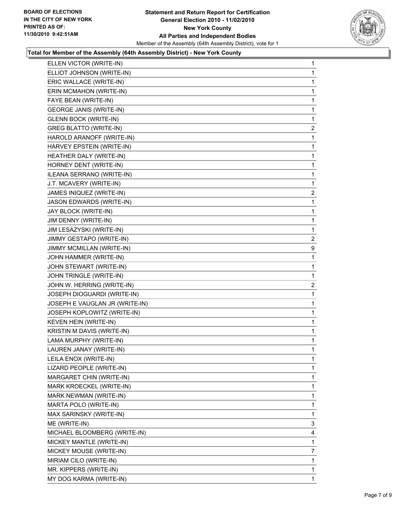

#### **Total for Member of the Assembly (64th Assembly District) - New York County**

| ELLEN VICTOR (WRITE-IN)        | 1              |
|--------------------------------|----------------|
| ELLIOT JOHNSON (WRITE-IN)      | 1              |
| ERIC WALLACE (WRITE-IN)        | 1              |
| ERIN MCMAHON (WRITE-IN)        | 1              |
| FAYE BEAN (WRITE-IN)           | 1              |
| <b>GEORGE JANIS (WRITE-IN)</b> | 1              |
| <b>GLENN BOCK (WRITE-IN)</b>   | 1              |
| <b>GREG BLATTO (WRITE-IN)</b>  | $\overline{2}$ |
| HAROLD ARANOFF (WRITE-IN)      | 1              |
| HARVEY EPSTEIN (WRITE-IN)      | 1              |
| HEATHER DALY (WRITE-IN)        | 1              |
| HORNEY DENT (WRITE-IN)         | 1              |
| ILEANA SERRANO (WRITE-IN)      | 1              |
| J.T. MCAVERY (WRITE-IN)        | 1              |
| JAMES INIQUEZ (WRITE-IN)       | $\overline{2}$ |
| JASON EDWARDS (WRITE-IN)       | 1              |
| JAY BLOCK (WRITE-IN)           | 1              |
| JIM DENNY (WRITE-IN)           | 1              |
| JIM LESAZYSKI (WRITE-IN)       | 1              |
| JIMMY GESTAPO (WRITE-IN)       | $\overline{2}$ |
| JIMMY MCMILLAN (WRITE-IN)      | 9              |
| JOHN HAMMER (WRITE-IN)         | 1              |
| JOHN STEWART (WRITE-IN)        | 1              |
| JOHN TRINGLE (WRITE-IN)        | 1              |
| JOHN W. HERRING (WRITE-IN)     | $\mathbf{2}$   |
| JOSEPH DIOGUARDI (WRITE-IN)    | 1              |
| JOSEPH E VAUGLAN JR (WRITE-IN) | 1              |
| JOSEPH KOPLOWITZ (WRITE-IN)    | 1              |
| <b>KEVEN HEIN (WRITE-IN)</b>   | 1              |
| KRISTIN M DAVIS (WRITE-IN)     | 1              |
| LAMA MURPHY (WRITE-IN)         | 1              |
| LAUREN JANAY (WRITE-IN)        | 1              |
| LEILA ENOX (WRITE-IN)          | 1              |
| LIZARD PEOPLE (WRITE-IN)       | 1              |
| MARGARET CHIN (WRITE-IN)       | 1              |
| MARK KROECKEL (WRITE-IN)       | 1              |
| MARK NEWMAN (WRITE-IN)         | 1              |
| MARTA POLO (WRITE-IN)          | 1              |
| MAX SARINSKY (WRITE-IN)        | 1              |
| ME (WRITE-IN)                  | 3              |
| MICHAEL BLOOMBERG (WRITE-IN)   | 4              |
| MICKEY MANTLE (WRITE-IN)       | 1              |
| MICKEY MOUSE (WRITE-IN)        | 7              |
| MIRIAM CILO (WRITE-IN)         | 1              |
| MR. KIPPERS (WRITE-IN)         | 1              |
| MY DOG KARMA (WRITE-IN)        | 1              |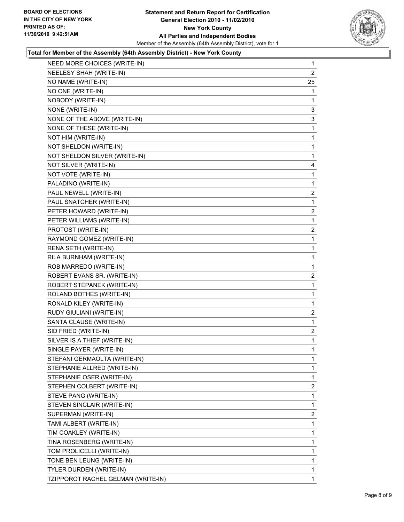

#### **Total for Member of the Assembly (64th Assembly District) - New York County**

| NEED MORE CHOICES (WRITE-IN)       | 1              |
|------------------------------------|----------------|
| NEELESY SHAH (WRITE-IN)            | $\overline{2}$ |
| NO NAME (WRITE-IN)                 | 25             |
| NO ONE (WRITE-IN)                  | 1              |
| NOBODY (WRITE-IN)                  | 1              |
| NONE (WRITE-IN)                    | 3              |
| NONE OF THE ABOVE (WRITE-IN)       | 3              |
| NONE OF THESE (WRITE-IN)           | 1              |
| NOT HIM (WRITE-IN)                 | 1              |
| NOT SHELDON (WRITE-IN)             | 1              |
| NOT SHELDON SILVER (WRITE-IN)      | 1              |
| NOT SILVER (WRITE-IN)              | 4              |
| NOT VOTE (WRITE-IN)                | 1              |
| PALADINO (WRITE-IN)                | 1              |
| PAUL NEWELL (WRITE-IN)             | 2              |
| PAUL SNATCHER (WRITE-IN)           | 1              |
| PETER HOWARD (WRITE-IN)            | 2              |
| PETER WILLIAMS (WRITE-IN)          | 1              |
| PROTOST (WRITE-IN)                 | 2              |
| RAYMOND GOMEZ (WRITE-IN)           | 1              |
| RENA SETH (WRITE-IN)               | 1              |
| RILA BURNHAM (WRITE-IN)            | 1              |
| ROB MARREDO (WRITE-IN)             | 1              |
| ROBERT EVANS SR. (WRITE-IN)        | 2              |
| ROBERT STEPANEK (WRITE-IN)         | 1              |
| ROLAND BOTHES (WRITE-IN)           | 1              |
| RONALD KILEY (WRITE-IN)            | 1              |
| RUDY GIULIANI (WRITE-IN)           | 2              |
| SANTA CLAUSE (WRITE-IN)            | 1              |
| SID FRIED (WRITE-IN)               | 2              |
| SILVER IS A THIEF (WRITE-IN)       | 1              |
| SINGLE PAYER (WRITE-IN)            | 1              |
| STEFANI GERMAOLTA (WRITE-IN)       | 1              |
| STEPHANIE ALLRED (WRITE-IN)        | 1              |
| STEPHANIE OSER (WRITE-IN)          | 1              |
| STEPHEN COLBERT (WRITE-IN)         | $\overline{2}$ |
| STEVE PANG (WRITE-IN)              | 1              |
| STEVEN SINCLAIR (WRITE-IN)         | 1              |
| SUPERMAN (WRITE-IN)                | $\overline{2}$ |
| TAMI ALBERT (WRITE-IN)             | 1              |
| TIM COAKLEY (WRITE-IN)             | 1              |
| TINA ROSENBERG (WRITE-IN)          | 1              |
| TOM PROLICELLI (WRITE-IN)          | 1              |
| TONE BEN LEUNG (WRITE-IN)          | 1              |
| TYLER DURDEN (WRITE-IN)            | 1              |
| TZIPPOROT RACHEL GELMAN (WRITE-IN) | 1              |